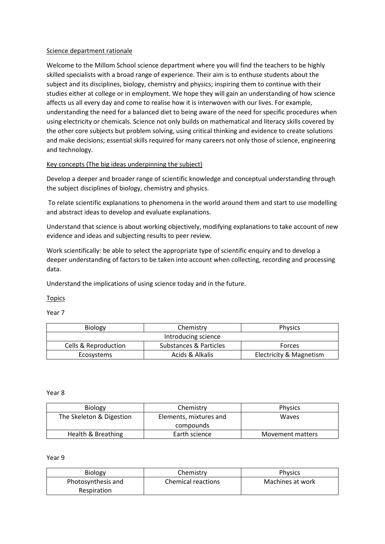## Science department rationale

Welcome to the Millom School science department where you will find the teachers to be highly skilled specialists with a broad range of experience. Their aim is to enthuse students about the subject and its disciplines, biology, chemistry and physics; inspiring them to continue with their studies either at college or in employment. We hope they will gain an understanding of how science affects us all every day and come to realise how it is interwoven with our lives. For example, understanding the need for a balanced diet to being aware of the need for specific procedures when using electricity or chemicals. Science not only builds on mathematical and literacy skills covered by the other core subjects but problem solving, using critical thinking and evidence to create solutions and make decisions; essential skills required for many careers not only those of science, engineering and technology.

# Key concepts (The big ideas underpinning the subject)

Develop a deeper and broader range of scientific knowledge and conceptual understanding through the subject disciplines of biology, chemistry and physics.

To relate scientific explanations to phenomena in the world around them and start to use modelling and abstract ideas to develop and evaluate explanations.

Understand that science is about working objectively, modifying explanations to take account of new evidence and ideas and subjecting results to peer review.

Work scientifically: be able to select the appropriate type of scientific enquiry and to develop a deeper understanding of factors to be taken into account when collecting, recording and processing data.

Understand the implications of using science today and in the future.

### Topics

Year 7

| <b>Biology</b>                  | Chemistry              | <b>Physics</b>          |
|---------------------------------|------------------------|-------------------------|
| Introducing science             |                        |                         |
| <b>Cells &amp; Reproduction</b> | Substances & Particles | Forces                  |
| Ecosystems                      | Acids & Alkalis        | Electricity & Magnetism |

#### Year 8

| <b>Biology</b>           | Chemistry              | <b>Physics</b>   |
|--------------------------|------------------------|------------------|
| The Skeleton & Digestion | Elements, mixtures and | Waves            |
|                          | compounds              |                  |
| Health & Breathing       | Earth science          | Movement matters |

### Year 9

| <b>Biology</b>     | Chemistry                 | <b>Physics</b>   |
|--------------------|---------------------------|------------------|
| Photosynthesis and | <b>Chemical reactions</b> | Machines at work |
| Respiration        |                           |                  |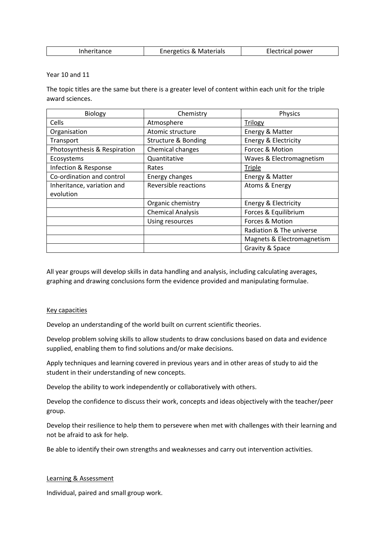| Inheritance | <b>Energetics &amp; Materials</b> | Electrical power |
|-------------|-----------------------------------|------------------|
|-------------|-----------------------------------|------------------|

Year 10 and 11

The topic titles are the same but there is a greater level of content within each unit for the triple award sciences.

| Biology                      | Chemistry                      | Physics                    |
|------------------------------|--------------------------------|----------------------------|
| Cells                        | Atmosphere                     | <b>Trilogy</b>             |
| Organisation                 | Atomic structure               | Energy & Matter            |
| Transport                    | <b>Structure &amp; Bonding</b> | Energy & Electricity       |
| Photosynthesis & Respiration | Chemical changes               | Forcec & Motion            |
| Ecosystems                   | Quantitative                   | Waves & Electromagnetism   |
| Infection & Response         | Rates                          | <b>Triple</b>              |
| Co-ordination and control    | Energy changes                 | Energy & Matter            |
| Inheritance, variation and   | Reversible reactions           | Atoms & Energy             |
| evolution                    |                                |                            |
|                              | Organic chemistry              | Energy & Electricity       |
|                              | <b>Chemical Analysis</b>       | Forces & Equilibrium       |
|                              | Using resources                | Forces & Motion            |
|                              |                                | Radiation & The universe   |
|                              |                                | Magnets & Electromagnetism |
|                              |                                | Gravity & Space            |

All year groups will develop skills in data handling and analysis, including calculating averages, graphing and drawing conclusions form the evidence provided and manipulating formulae.

### Key capacities

Develop an understanding of the world built on current scientific theories.

Develop problem solving skills to allow students to draw conclusions based on data and evidence supplied, enabling them to find solutions and/or make decisions.

Apply techniques and learning covered in previous years and in other areas of study to aid the student in their understanding of new concepts.

Develop the ability to work independently or collaboratively with others.

Develop the confidence to discuss their work, concepts and ideas objectively with the teacher/peer group.

Develop their resilience to help them to persevere when met with challenges with their learning and not be afraid to ask for help.

Be able to identify their own strengths and weaknesses and carry out intervention activities.

### Learning & Assessment

Individual, paired and small group work.